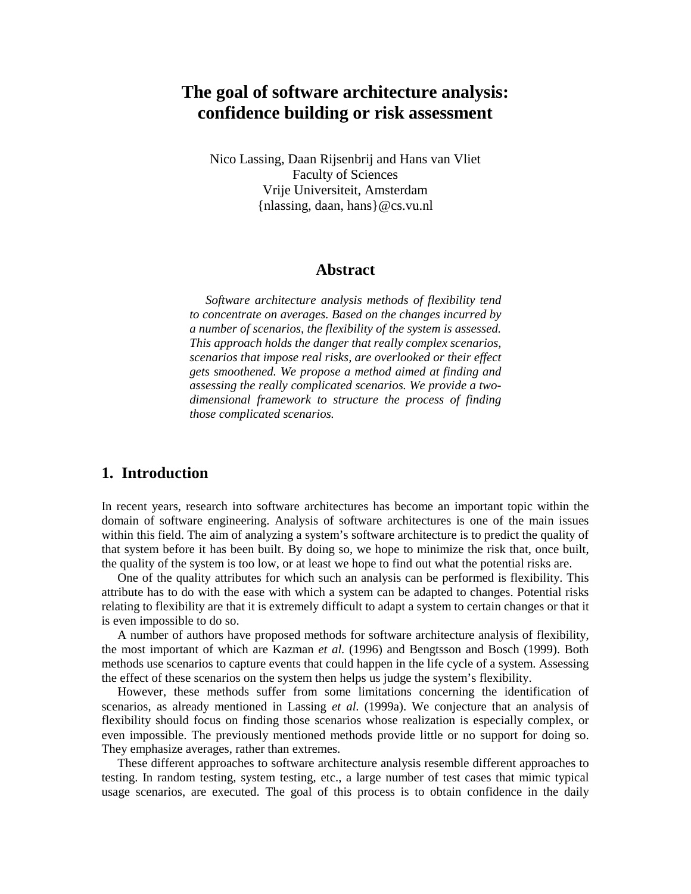# **The goal of software architecture analysis: confidence building or risk assessment**

Nico Lassing, Daan Rijsenbrij and Hans van Vliet Faculty of Sciences Vrije Universiteit, Amsterdam {nlassing, daan, hans}@cs.vu.nl

#### **Abstract**

*Software architecture analysis methods of flexibility tend to concentrate on averages. Based on the changes incurred by a number of scenarios, the flexibility of the system is assessed. This approach holds the danger that really complex scenarios, scenarios that impose real risks, are overlooked or their effect gets smoothened. We propose a method aimed at finding and assessing the really complicated scenarios. We provide a twodimensional framework to structure the process of finding those complicated scenarios.* 

## **1. Introduction**

In recent years, research into software architectures has become an important topic within the domain of software engineering. Analysis of software architectures is one of the main issues within this field. The aim of analyzing a system's software architecture is to predict the quality of that system before it has been built. By doing so, we hope to minimize the risk that, once built, the quality of the system is too low, or at least we hope to find out what the potential risks are.

One of the quality attributes for which such an analysis can be performed is flexibility. This attribute has to do with the ease with which a system can be adapted to changes. Potential risks relating to flexibility are that it is extremely difficult to adapt a system to certain changes or that it is even impossible to do so.

A number of authors have proposed methods for software architecture analysis of flexibility, the most important of which are Kazman *et al.* (1996) and Bengtsson and Bosch (1999). Both methods use scenarios to capture events that could happen in the life cycle of a system. Assessing the effect of these scenarios on the system then helps us judge the system's flexibility.

However, these methods suffer from some limitations concerning the identification of scenarios, as already mentioned in Lassing *et al.* (1999a). We conjecture that an analysis of flexibility should focus on finding those scenarios whose realization is especially complex, or even impossible. The previously mentioned methods provide little or no support for doing so. They emphasize averages, rather than extremes.

These different approaches to software architecture analysis resemble different approaches to testing. In random testing, system testing, etc., a large number of test cases that mimic typical usage scenarios, are executed. The goal of this process is to obtain confidence in the daily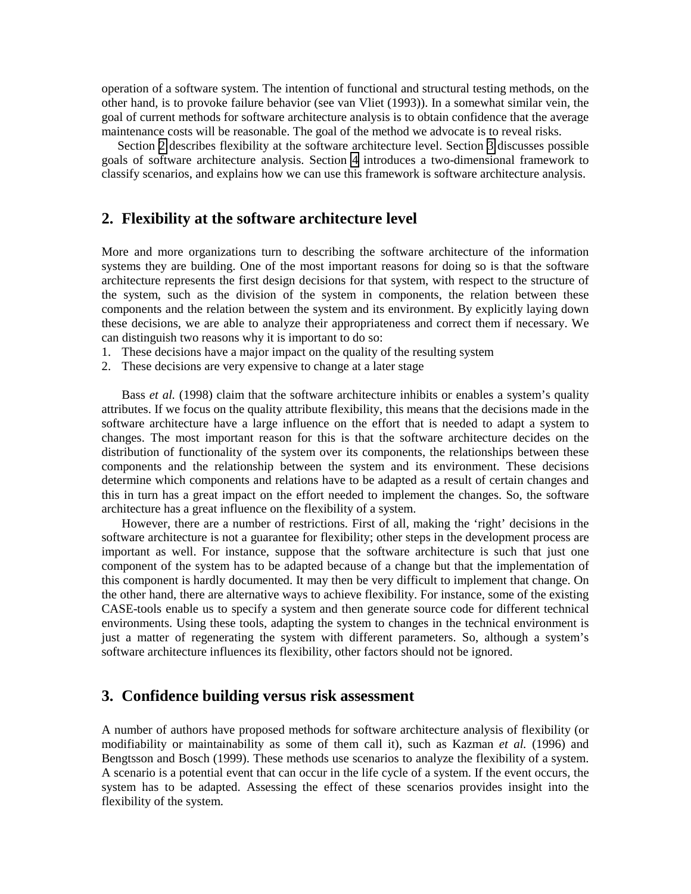operation of a software system. The intention of functional and structural testing methods, on the other hand, is to provoke failure behavior (see van Vliet (1993)). In a somewhat similar vein, the goal of current methods for software architecture analysis is to obtain confidence that the average maintenance costs will be reasonable. The goal of the method we advocate is to reveal risks.

Section 2 describes flexibility at the software architecture level. Section 3 discusses possible goals of software architecture analysis. Section [4](#page-3-0) introduces a two-dimensional framework to classify scenarios, and explains how we can use this framework is software architecture analysis.

### **2. Flexibility at the software architecture level**

More and more organizations turn to describing the software architecture of the information systems they are building. One of the most important reasons for doing so is that the software architecture represents the first design decisions for that system, with respect to the structure of the system, such as the division of the system in components, the relation between these components and the relation between the system and its environment. By explicitly laying down these decisions, we are able to analyze their appropriateness and correct them if necessary. We can distinguish two reasons why it is important to do so:

- 1. These decisions have a major impact on the quality of the resulting system
- 2. These decisions are very expensive to change at a later stage

Bass *et al.* (1998) claim that the software architecture inhibits or enables a system's quality attributes. If we focus on the quality attribute flexibility, this means that the decisions made in the software architecture have a large influence on the effort that is needed to adapt a system to changes. The most important reason for this is that the software architecture decides on the distribution of functionality of the system over its components, the relationships between these components and the relationship between the system and its environment. These decisions determine which components and relations have to be adapted as a result of certain changes and this in turn has a great impact on the effort needed to implement the changes. So, the software architecture has a great influence on the flexibility of a system.

However, there are a number of restrictions. First of all, making the 'right' decisions in the software architecture is not a guarantee for flexibility; other steps in the development process are important as well. For instance, suppose that the software architecture is such that just one component of the system has to be adapted because of a change but that the implementation of this component is hardly documented. It may then be very difficult to implement that change. On the other hand, there are alternative ways to achieve flexibility. For instance, some of the existing CASE-tools enable us to specify a system and then generate source code for different technical environments. Using these tools, adapting the system to changes in the technical environment is just a matter of regenerating the system with different parameters. So, although a system's software architecture influences its flexibility, other factors should not be ignored.

## **3. Confidence building versus risk assessment**

A number of authors have proposed methods for software architecture analysis of flexibility (or modifiability or maintainability as some of them call it), such as Kazman *et al.* (1996) and Bengtsson and Bosch (1999). These methods use scenarios to analyze the flexibility of a system. A scenario is a potential event that can occur in the life cycle of a system. If the event occurs, the system has to be adapted. Assessing the effect of these scenarios provides insight into the flexibility of the system.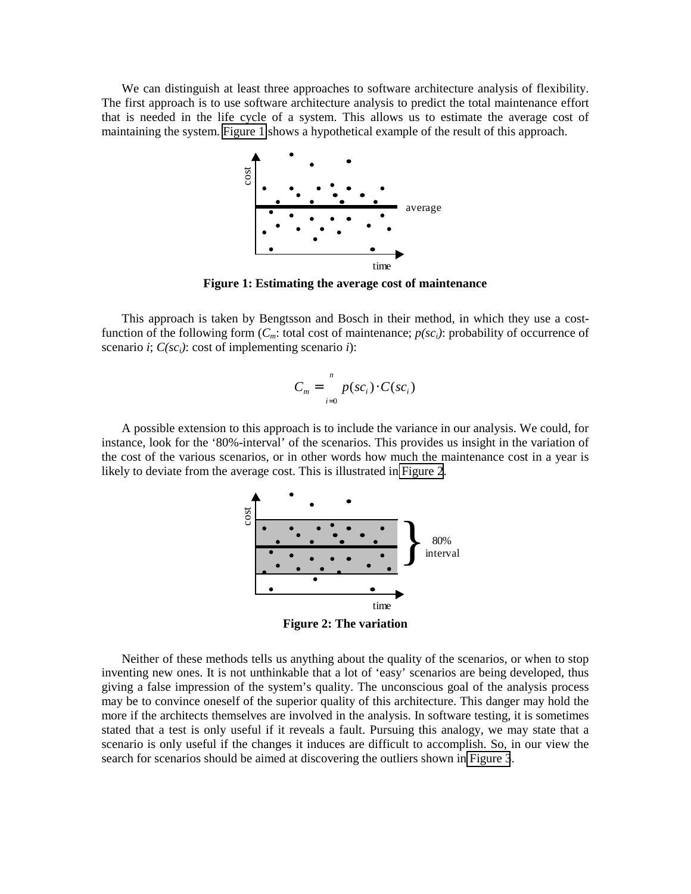We can distinguish at least three approaches to software architecture analysis of flexibility. The first approach is to use software architecture analysis to predict the total maintenance effort that is needed in the life cycle of a system. This allows us to estimate the average cost of maintaining the system. Figure 1 shows a hypothetical example of the result of this approach.



**Figure 1: Estimating the average cost of maintenance** 

This approach is taken by Bengtsson and Bosch in their method, in which they use a costfunction of the following form  $(C_m:$  total cost of maintenance;  $p(sc_i)$ : probability of occurrence of scenario *i*;  $C$ (sc<sub>i</sub>): cost of implementing scenario *i*):

$$
C_m = \sum_{i=0}^{n} p(sc_i) \cdot C(sc_i)
$$

A possible extension to this approach is to include the variance in our analysis. We could, for instance, look for the '80%-interval' of the scenarios. This provides us insight in the variation of the cost of the various scenarios, or in other words how much the maintenance cost in a year is likely to deviate from the average cost. This is illustrated in Figure 2.



**Figure 2: The variation** 

Neither of these methods tells us anything about the quality of the scenarios, or when to stop inventing new ones. It is not unthinkable that a lot of 'easy' scenarios are being developed, thus giving a false impression of the system's quality. The unconscious goal of the analysis process may be to convince oneself of the superior quality of this architecture. This danger may hold the more if the architects themselves are involved in the analysis. In software testing, it is sometimes stated that a test is only useful if it reveals a fault. Pursuing this analogy, we may state that a scenario is only useful if the changes it induces are difficult to accomplish. So, in our view the search for scenarios should be aimed at discovering the outliers shown in [Figure 3](#page-3-0).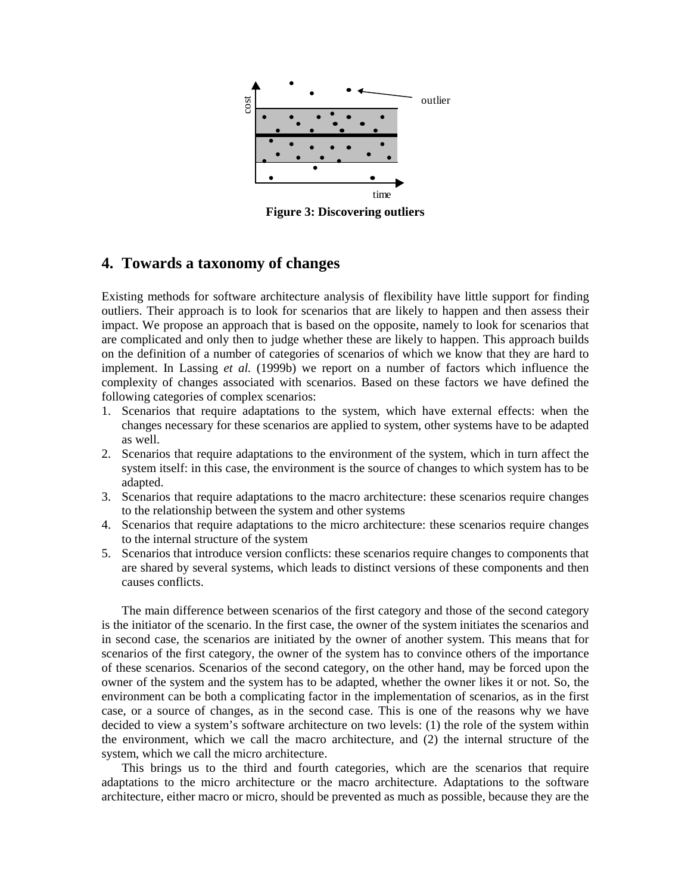<span id="page-3-0"></span>

**Figure 3: Discovering outliers** 

## **4. Towards a taxonomy of changes**

Existing methods for software architecture analysis of flexibility have little support for finding outliers. Their approach is to look for scenarios that are likely to happen and then assess their impact. We propose an approach that is based on the opposite, namely to look for scenarios that are complicated and only then to judge whether these are likely to happen. This approach builds on the definition of a number of categories of scenarios of which we know that they are hard to implement. In Lassing *et al.* (1999b) we report on a number of factors which influence the complexity of changes associated with scenarios. Based on these factors we have defined the following categories of complex scenarios:

- 1. Scenarios that require adaptations to the system, which have external effects: when the changes necessary for these scenarios are applied to system, other systems have to be adapted as well.
- 2. Scenarios that require adaptations to the environment of the system, which in turn affect the system itself: in this case, the environment is the source of changes to which system has to be adapted.
- 3. Scenarios that require adaptations to the macro architecture: these scenarios require changes to the relationship between the system and other systems
- 4. Scenarios that require adaptations to the micro architecture: these scenarios require changes to the internal structure of the system
- 5. Scenarios that introduce version conflicts: these scenarios require changes to components that are shared by several systems, which leads to distinct versions of these components and then causes conflicts.

The main difference between scenarios of the first category and those of the second category is the initiator of the scenario. In the first case, the owner of the system initiates the scenarios and in second case, the scenarios are initiated by the owner of another system. This means that for scenarios of the first category, the owner of the system has to convince others of the importance of these scenarios. Scenarios of the second category, on the other hand, may be forced upon the owner of the system and the system has to be adapted, whether the owner likes it or not. So, the environment can be both a complicating factor in the implementation of scenarios, as in the first case, or a source of changes, as in the second case. This is one of the reasons why we have decided to view a system's software architecture on two levels: (1) the role of the system within the environment, which we call the macro architecture, and (2) the internal structure of the system, which we call the micro architecture.

This brings us to the third and fourth categories, which are the scenarios that require adaptations to the micro architecture or the macro architecture. Adaptations to the software architecture, either macro or micro, should be prevented as much as possible, because they are the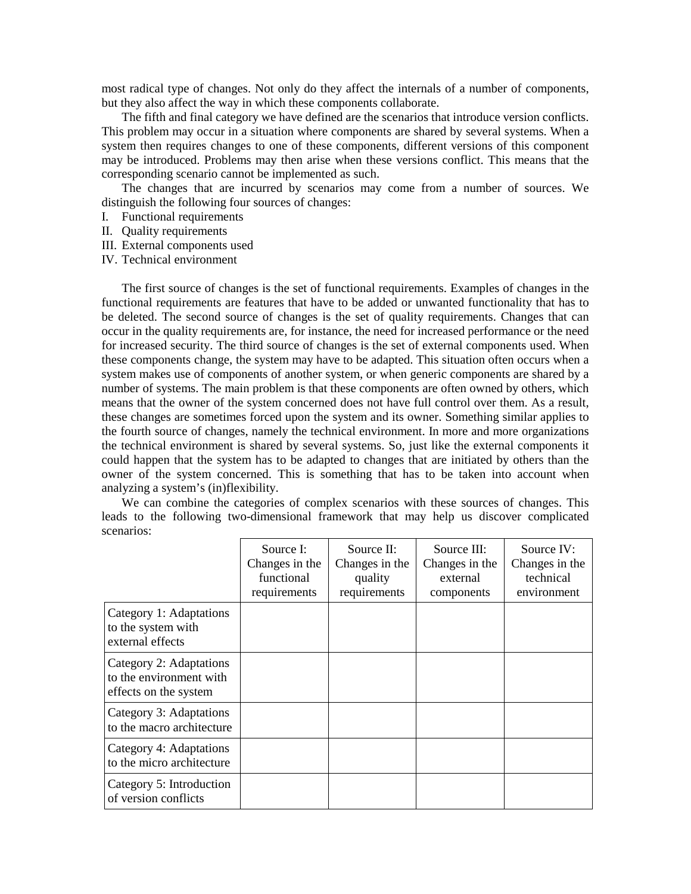most radical type of changes. Not only do they affect the internals of a number of components, but they also affect the way in which these components collaborate.

The fifth and final category we have defined are the scenarios that introduce version conflicts. This problem may occur in a situation where components are shared by several systems. When a system then requires changes to one of these components, different versions of this component may be introduced. Problems may then arise when these versions conflict. This means that the corresponding scenario cannot be implemented as such.

The changes that are incurred by scenarios may come from a number of sources. We distinguish the following four sources of changes:

- I. Functional requirements
- II. Quality requirements
- III. External components used
- IV. Technical environment

The first source of changes is the set of functional requirements. Examples of changes in the functional requirements are features that have to be added or unwanted functionality that has to be deleted. The second source of changes is the set of quality requirements. Changes that can occur in the quality requirements are, for instance, the need for increased performance or the need for increased security. The third source of changes is the set of external components used. When these components change, the system may have to be adapted. This situation often occurs when a system makes use of components of another system, or when generic components are shared by a number of systems. The main problem is that these components are often owned by others, which means that the owner of the system concerned does not have full control over them. As a result, these changes are sometimes forced upon the system and its owner. Something similar applies to the fourth source of changes, namely the technical environment. In more and more organizations the technical environment is shared by several systems. So, just like the external components it could happen that the system has to be adapted to changes that are initiated by others than the owner of the system concerned. This is something that has to be taken into account when analyzing a system's (in)flexibility.

We can combine the categories of complex scenarios with these sources of changes. This leads to the following two-dimensional framework that may help us discover complicated scenarios:

|                                                                             | Source I:<br>Changes in the<br>functional<br>requirements | Source II:<br>Changes in the<br>quality<br>requirements | Source III:<br>Changes in the<br>external<br>components | Source IV:<br>Changes in the<br>technical<br>environment |
|-----------------------------------------------------------------------------|-----------------------------------------------------------|---------------------------------------------------------|---------------------------------------------------------|----------------------------------------------------------|
| Category 1: Adaptations<br>to the system with<br>external effects           |                                                           |                                                         |                                                         |                                                          |
| Category 2: Adaptations<br>to the environment with<br>effects on the system |                                                           |                                                         |                                                         |                                                          |
| Category 3: Adaptations<br>to the macro architecture                        |                                                           |                                                         |                                                         |                                                          |
| Category 4: Adaptations<br>to the micro architecture                        |                                                           |                                                         |                                                         |                                                          |
| Category 5: Introduction<br>of version conflicts                            |                                                           |                                                         |                                                         |                                                          |